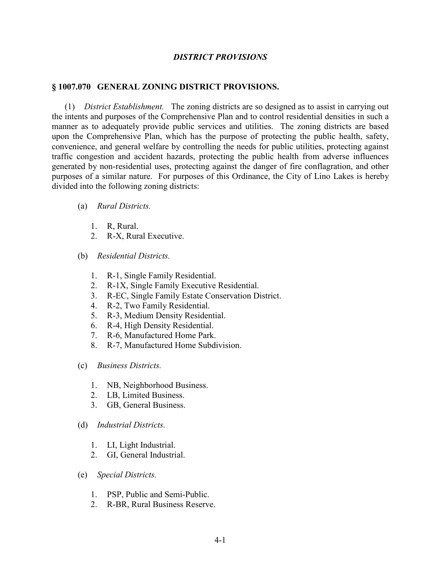## *DISTRICT PROVISIONS*

## **§ 1007.070 GENERAL ZONING DISTRICT PROVISIONS.**

(1) *District Establishment.* The zoning districts are so designed as to assist in carrying out the intents and purposes of the Comprehensive Plan and to control residential densities in such a manner as to adequately provide public services and utilities. The zoning districts are based upon the Comprehensive Plan, which has the purpose of protecting the public health, safety, convenience, and general welfare by controlling the needs for public utilities, protecting against traffic congestion and accident hazards, protecting the public health from adverse influences generated by non-residential uses, protecting against the danger of fire conflagration, and other purposes of a similar nature. For purposes of this Ordinance, the City of Lino Lakes is hereby divided into the following zoning districts:

## (a) *Rural Districts.*

- 1. R, Rural.
- 2. R-X, Rural Executive.
- (b) *Residential Districts.*
	- 1. R-1, Single Family Residential.
	- 2. R-1X, Single Family Executive Residential.
	- 3. R-EC, Single Family Estate Conservation District.
	- 4. R-2, Two Family Residential.
	- 5. R-3, Medium Density Residential.
	- 6. R-4, High Density Residential.
	- 7. R-6, Manufactured Home Park.
	- 8. R-7, Manufactured Home Subdivision.
- (c) *Business Districts.*
	- 1. NB, Neighborhood Business.
	- 2. LB, Limited Business.
	- 3. GB, General Business.
- (d) *Industrial Districts.*
	- 1. LI, Light Industrial.
	- 2. GI, General Industrial.
- (e) *Special Districts.*
	- 1. PSP, Public and Semi-Public.
	- 2. R-BR, Rural Business Reserve.